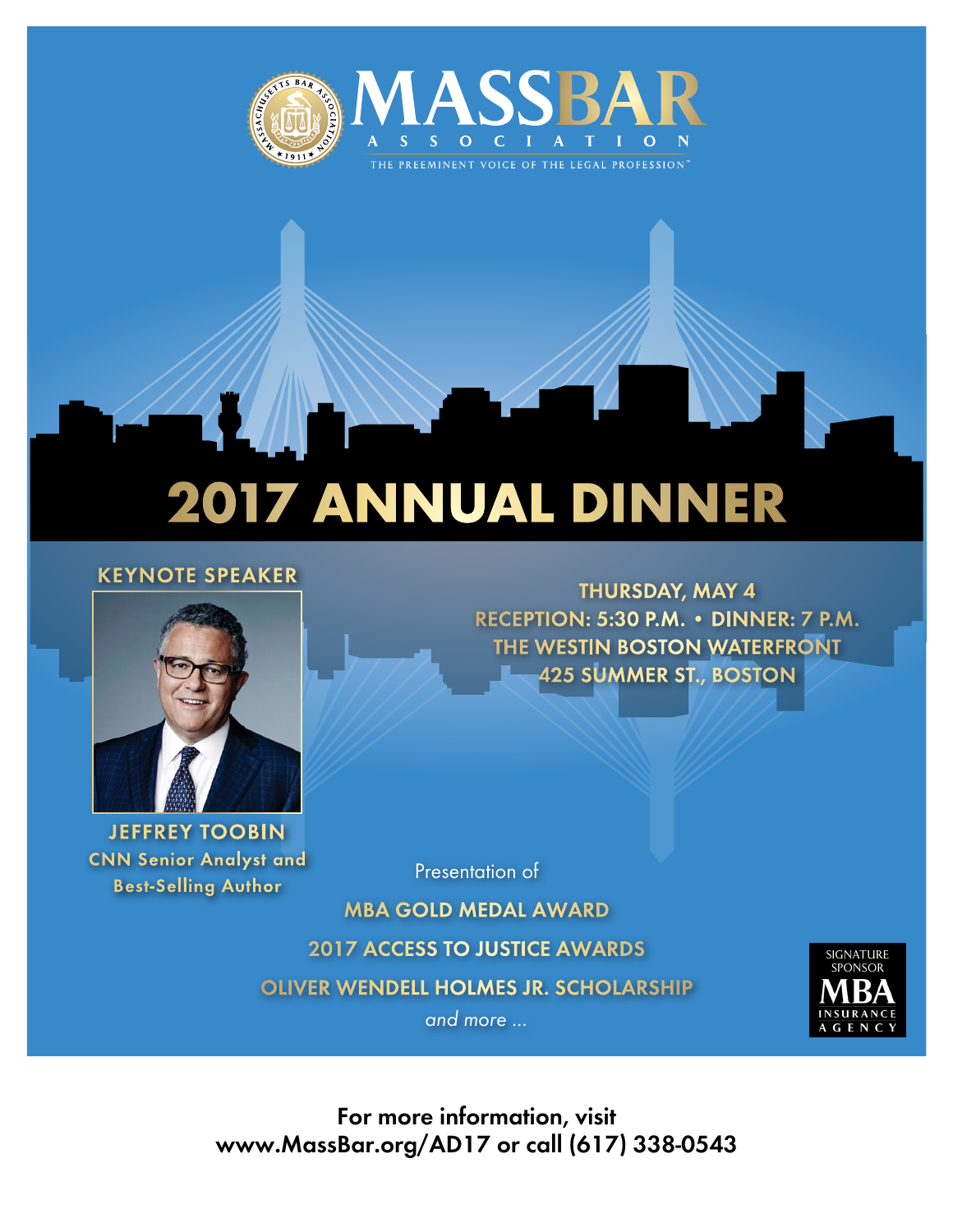

## 2017 Annual Dinner

## **Keynote Speaker**



**Jeffrey Toobin CNN Senior Analyst and Best-Selling Author**

**Thursday, May 4 Reception: 5:30 p.m. • Dinner: 7 p.m. The Westin Boston Waterfront 425 Summer St., Boston**

Presentation of

**MBA Gold Medal Award 2017 Access to Justice Awards Oliver Wendell Holmes Jr. Scholarship** and more ...



**For more information, visit www.MassBar.org/AD17 or call (617) 338-0543**